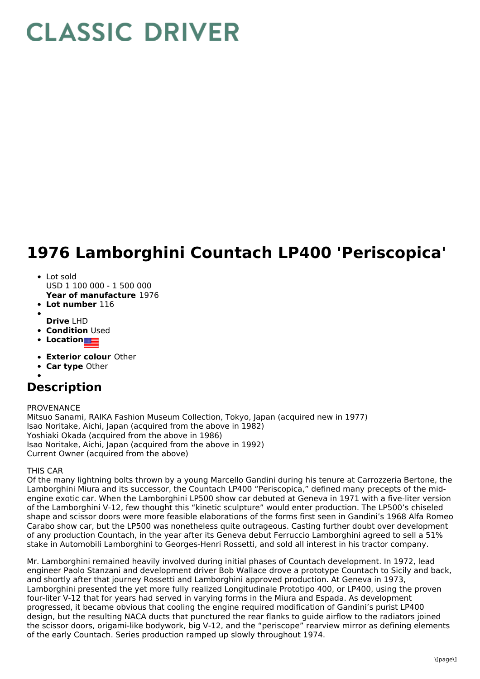# **CLASSIC DRIVER**

## **1976 Lamborghini Countach LP400 'Periscopica'**

## • Lot sold

- USD 1 100 000 1 500 000
- **Year of manufacture** 1976
- **Lot number** 116
- **Drive** LHD
- **Condition Used**
- **Location**
- **Exterior colour** Other
- **Car type** Other

## **Description**

## PROVENANCE

Mitsuo Sanami, RAIKA Fashion Museum Collection, Tokyo, Japan (acquired new in 1977) Isao Noritake, Aichi, Japan (acquired from the above in 1982) Yoshiaki Okada (acquired from the above in 1986) Isao Noritake, Aichi, Japan (acquired from the above in 1992) Current Owner (acquired from the above)

## THIS CAR

Of the many lightning bolts thrown by a young Marcello Gandini during his tenure at Carrozzeria Bertone, the Lamborghini Miura and its successor, the Countach LP400 "Periscopica," defined many precepts of the midengine exotic car. When the Lamborghini LP500 show car debuted at Geneva in 1971 with a five-liter version of the Lamborghini V-12, few thought this "kinetic sculpture" would enter production. The LP500's chiseled shape and scissor doors were more feasible elaborations of the forms first seen in Gandini's 1968 Alfa Romeo Carabo show car, but the LP500 was nonetheless quite outrageous. Casting further doubt over development of any production Countach, in the year after its Geneva debut Ferruccio Lamborghini agreed to sell a 51% stake in Automobili Lamborghini to Georges-Henri Rossetti, and sold all interest in his tractor company.

Mr. Lamborghini remained heavily involved during initial phases of Countach development. In 1972, lead engineer Paolo Stanzani and development driver Bob Wallace drove a prototype Countach to Sicily and back, and shortly after that journey Rossetti and Lamborghini approved production. At Geneva in 1973, Lamborghini presented the yet more fully realized Longitudinale Prototipo 400, or LP400, using the proven four-liter V-12 that for years had served in varying forms in the Miura and Espada. As development progressed, it became obvious that cooling the engine required modification of Gandini's purist LP400 design, but the resulting NACA ducts that punctured the rear flanks to guide airflow to the radiators joined the scissor doors, origami-like bodywork, big V-12, and the "periscope" rearview mirror as defining elements of the early Countach. Series production ramped up slowly throughout 1974.